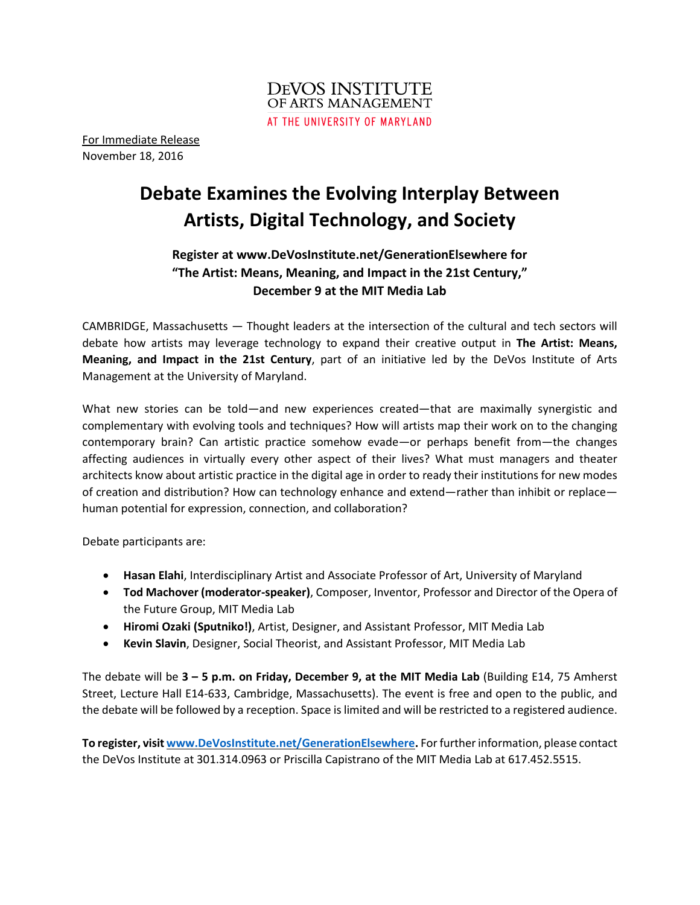

For Immediate Release November 18, 2016

# **Debate Examines the Evolving Interplay Between Artists, Digital Technology, and Society**

# **Register at www.DeVosInstitute.net/GenerationElsewhere for "The Artist: Means, Meaning, and Impact in the 21st Century," December 9 at the MIT Media Lab**

CAMBRIDGE, Massachusetts — Thought leaders at the intersection of the cultural and tech sectors will debate how artists may leverage technology to expand their creative output in **The Artist: Means, Meaning, and Impact in the 21st Century**, part of an initiative led by the DeVos Institute of Arts Management at the University of Maryland.

What new stories can be told—and new experiences created—that are maximally synergistic and complementary with evolving tools and techniques? How will artists map their work on to the changing contemporary brain? Can artistic practice somehow evade—or perhaps benefit from—the changes affecting audiences in virtually every other aspect of their lives? What must managers and theater architects know about artistic practice in the digital age in order to ready their institutions for new modes of creation and distribution? How can technology enhance and extend—rather than inhibit or replace human potential for expression, connection, and collaboration?

Debate participants are:

- **Hasan Elahi**, Interdisciplinary Artist and Associate Professor of Art, University of Maryland
- **Tod Machover (moderator-speaker)**, Composer, Inventor, Professor and Director of the Opera of the Future Group, MIT Media Lab
- **Hiromi Ozaki (Sputniko!)**, Artist, Designer, and Assistant Professor, MIT Media Lab
- **Kevin Slavin**, Designer, Social Theorist, and Assistant Professor, MIT Media Lab

The debate will be **3 – 5 p.m. on Friday, December 9, at the MIT Media Lab** (Building E14, 75 Amherst Street, Lecture Hall E14-633, Cambridge, Massachusetts). The event is free and open to the public, and the debate will be followed by a reception. Space is limited and will be restricted to a registered audience.

**To register, visit [www.DeVosInstitute.net/GenerationElsewhere.](http://www.devosinstitute.net/GenerationElsewhere)** Forfurtherinformation, please contact the DeVos Institute at 301.314.0963 or Priscilla Capistrano of the MIT Media Lab at 617.452.5515.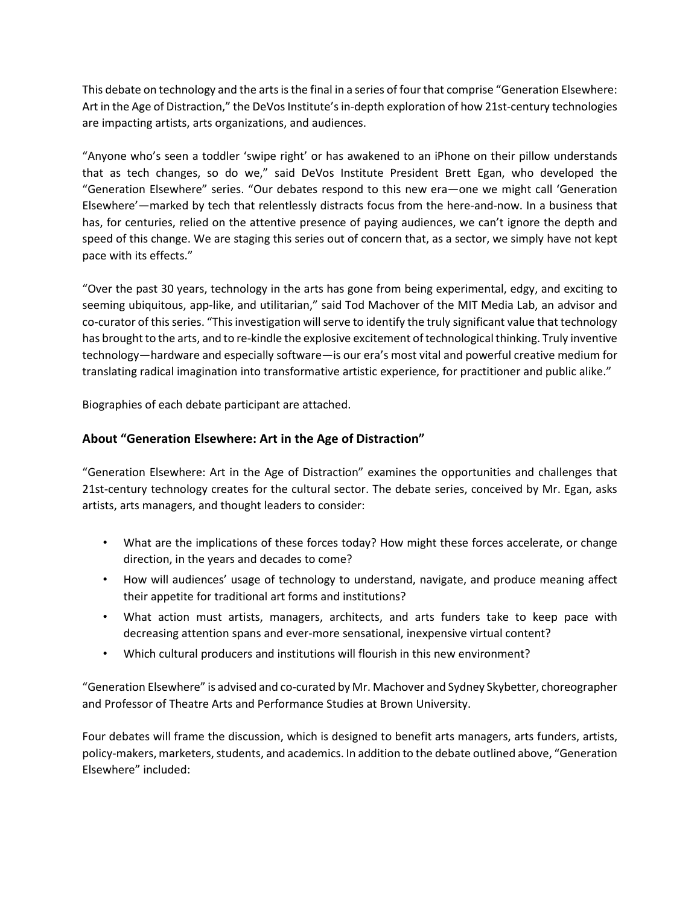This debate on technology and the arts is the final in a series of four that comprise "Generation Elsewhere: Art in the Age of Distraction," the DeVos Institute's in-depth exploration of how 21st-century technologies are impacting artists, arts organizations, and audiences.

"Anyone who's seen a toddler 'swipe right' or has awakened to an iPhone on their pillow understands that as tech changes, so do we," said DeVos Institute President Brett Egan, who developed the "Generation Elsewhere" series. "Our debates respond to this new era—one we might call 'Generation Elsewhere'—marked by tech that relentlessly distracts focus from the here-and-now. In a business that has, for centuries, relied on the attentive presence of paying audiences, we can't ignore the depth and speed of this change. We are staging this series out of concern that, as a sector, we simply have not kept pace with its effects."

"Over the past 30 years, technology in the arts has gone from being experimental, edgy, and exciting to seeming ubiquitous, app-like, and utilitarian," said Tod Machover of the MIT Media Lab, an advisor and co-curator of thisseries. "Thisinvestigation willserve to identify the truly significant value that technology has brought to the arts, and to re-kindle the explosive excitement of technological thinking. Truly inventive technology—hardware and especially software—is our era's most vital and powerful creative medium for translating radical imagination into transformative artistic experience, for practitioner and public alike."

Biographies of each debate participant are attached.

## **About "Generation Elsewhere: Art in the Age of Distraction"**

"Generation Elsewhere: Art in the Age of Distraction" examines the opportunities and challenges that 21st-century technology creates for the cultural sector. The debate series, conceived by Mr. Egan, asks artists, arts managers, and thought leaders to consider:

- What are the implications of these forces today? How might these forces accelerate, or change direction, in the years and decades to come?
- How will audiences' usage of technology to understand, navigate, and produce meaning affect their appetite for traditional art forms and institutions?
- What action must artists, managers, architects, and arts funders take to keep pace with decreasing attention spans and ever-more sensational, inexpensive virtual content?
- Which cultural producers and institutions will flourish in this new environment?

"Generation Elsewhere" is advised and co-curated by Mr. Machover and Sydney Skybetter, choreographer and Professor of Theatre Arts and Performance Studies at Brown University.

Four debates will frame the discussion, which is designed to benefit arts managers, arts funders, artists, policy-makers, marketers, students, and academics. In addition to the debate outlined above, "Generation Elsewhere" included: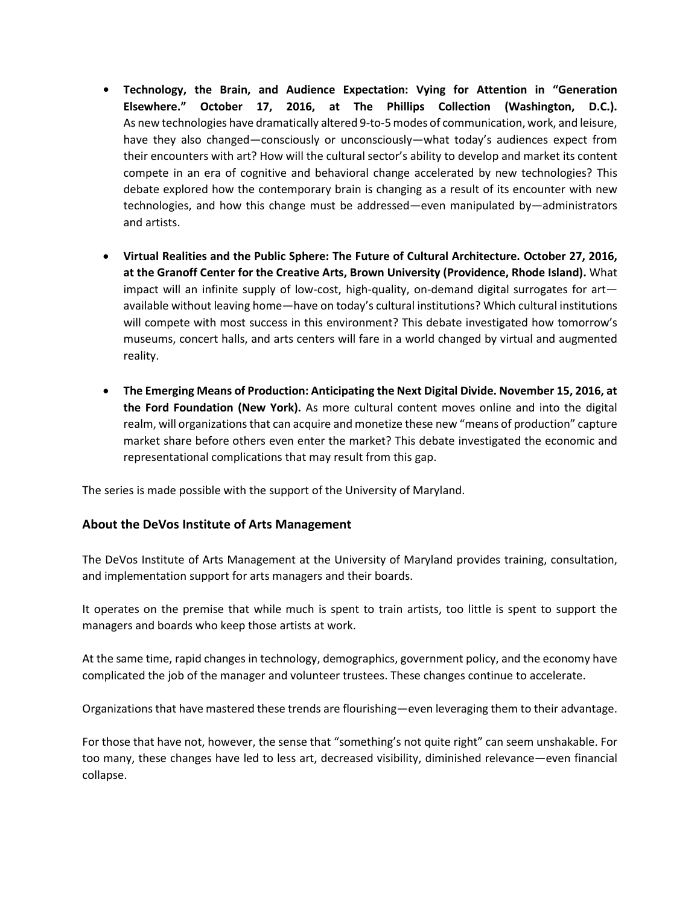- **• Technology, the Brain, and Audience Expectation: Vying for Attention in "Generation Elsewhere." October 17, 2016, at The Phillips Collection (Washington, D.C.).** As new technologies have dramatically altered 9-to-5modes of communication, work, and leisure, have they also changed—consciously or unconsciously—what today's audiences expect from their encounters with art? How will the cultural sector's ability to develop and market its content compete in an era of cognitive and behavioral change accelerated by new technologies? This debate explored how the contemporary brain is changing as a result of its encounter with new technologies, and how this change must be addressed—even manipulated by—administrators and artists.
- **Virtual Realities and the Public Sphere: The Future of Cultural Architecture. October 27, 2016, at the Granoff Center for the Creative Arts, Brown University (Providence, Rhode Island).** What impact will an infinite supply of low-cost, high-quality, on-demand digital surrogates for art available without leaving home—have on today's cultural institutions? Which cultural institutions will compete with most success in this environment? This debate investigated how tomorrow's museums, concert halls, and arts centers will fare in a world changed by virtual and augmented reality.
- **The Emerging Means of Production: Anticipating the Next Digital Divide. November 15, 2016, at the Ford Foundation (New York).** As more cultural content moves online and into the digital realm, will organizations that can acquire and monetize these new "means of production" capture market share before others even enter the market? This debate investigated the economic and representational complications that may result from this gap.

The series is made possible with the support of the University of Maryland.

### **About the DeVos Institute of Arts Management**

The DeVos Institute of Arts Management at the University of Maryland provides training, consultation, and implementation support for arts managers and their boards.

It operates on the premise that while much is spent to train artists, too little is spent to support the managers and boards who keep those artists at work.

At the same time, rapid changes in technology, demographics, government policy, and the economy have complicated the job of the manager and volunteer trustees. These changes continue to accelerate.

Organizations that have mastered these trends are flourishing—even leveraging them to their advantage.

For those that have not, however, the sense that "something's not quite right" can seem unshakable. For too many, these changes have led to less art, decreased visibility, diminished relevance—even financial collapse.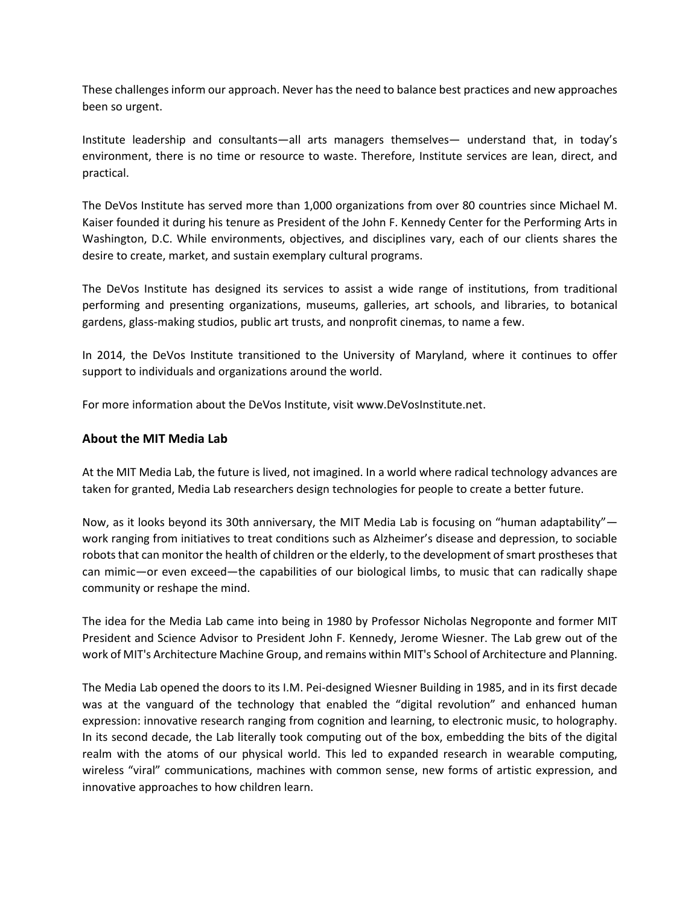These challenges inform our approach. Never hasthe need to balance best practices and new approaches been so urgent.

Institute leadership and consultants—all arts managers themselves— understand that, in today's environment, there is no time or resource to waste. Therefore, Institute services are lean, direct, and practical.

The DeVos Institute has served more than 1,000 organizations from over 80 countries since Michael M. Kaiser founded it during his tenure as President of the John F. Kennedy Center for the Performing Arts in Washington, D.C. While environments, objectives, and disciplines vary, each of our clients shares the desire to create, market, and sustain exemplary cultural programs.

The DeVos Institute has designed its services to assist a wide range of institutions, from traditional performing and presenting organizations, museums, galleries, art schools, and libraries, to botanical gardens, glass-making studios, public art trusts, and nonprofit cinemas, to name a few.

In 2014, the DeVos Institute transitioned to the University of Maryland, where it continues to offer support to individuals and organizations around the world.

For more information about the DeVos Institute, visit www.DeVosInstitute.net.

#### **About the MIT Media Lab**

At the MIT Media Lab, the future is lived, not imagined. In a world where radical technology advances are taken for granted, Media Lab researchers design technologies for people to create a better future.

Now, as it looks beyond its 30th anniversary, the MIT Media Lab is focusing on "human adaptability" work ranging from initiatives to treat conditions such as Alzheimer's disease and depression, to sociable robots that can monitor the health of children or the elderly, to the development of smart prostheses that can mimic—or even exceed—the capabilities of our biological limbs, to music that can radically shape community or reshape the mind.

The idea for the Media Lab came into being in 1980 by Professor Nicholas Negroponte and former MIT President and Science Advisor to President John F. Kennedy, Jerome Wiesner. The Lab grew out of the work of MIT's Architecture Machine Group, and remains within MIT's School of Architecture and Planning.

The Media Lab opened the doors to its I.M. Pei-designed Wiesner Building in 1985, and in its first decade was at the vanguard of the technology that enabled the "digital revolution" and enhanced human expression: innovative research ranging from cognition and learning, to electronic music, to holography. In its second decade, the Lab literally took computing out of the box, embedding the bits of the digital realm with the atoms of our physical world. This led to expanded research in wearable computing, wireless "viral" communications, machines with common sense, new forms of artistic expression, and innovative approaches to how children learn.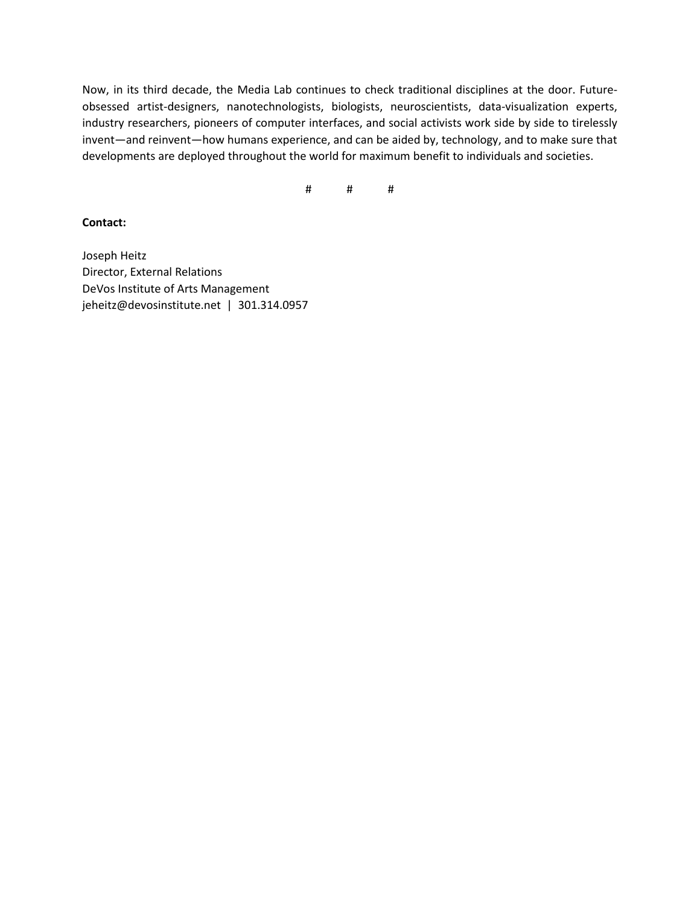Now, in its third decade, the Media Lab continues to check traditional disciplines at the door. Futureobsessed artist-designers, nanotechnologists, biologists, neuroscientists, data-visualization experts, industry researchers, pioneers of computer interfaces, and social activists work side by side to tirelessly invent—and reinvent—how humans experience, and can be aided by, technology, and to make sure that developments are deployed throughout the world for maximum benefit to individuals and societies.

# # #

**Contact:**

Joseph Heitz Director, External Relations DeVos Institute of Arts Management jeheitz@devosinstitute.net | 301.314.0957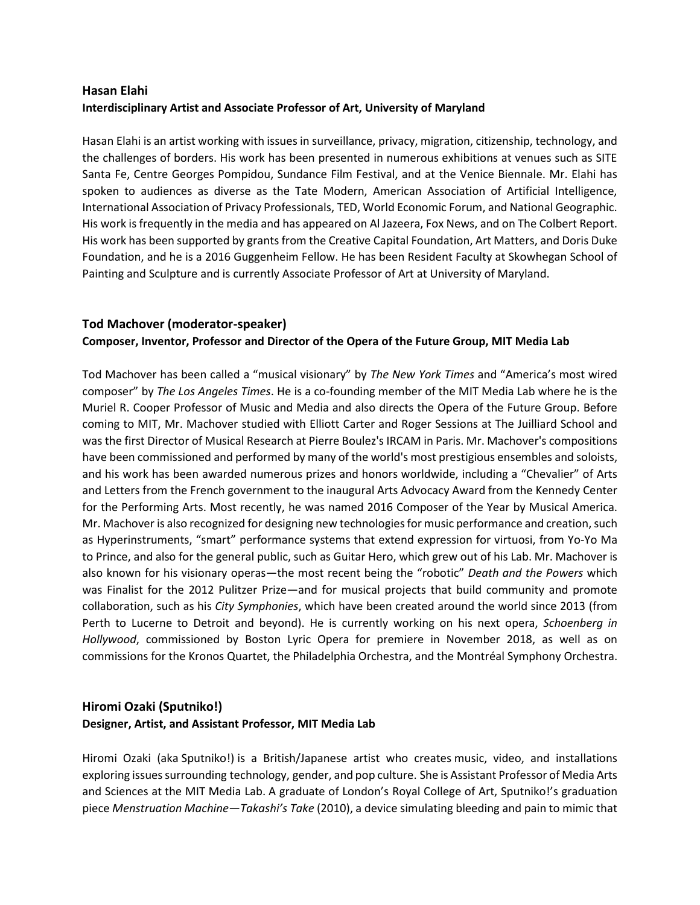# **Hasan Elahi Interdisciplinary Artist and Associate Professor of Art, University of Maryland**

Hasan Elahi is an artist working with issues in surveillance, privacy, migration, citizenship, technology, and the challenges of borders. His work has been presented in numerous exhibitions at venues such as SITE Santa Fe, Centre Georges Pompidou, Sundance Film Festival, and at the Venice Biennale. Mr. Elahi has spoken to audiences as diverse as the Tate Modern, American Association of Artificial Intelligence, International Association of Privacy Professionals, TED, World Economic Forum, and National Geographic. His work is frequently in the media and has appeared on Al Jazeera, Fox News, and on The Colbert Report. His work has been supported by grants from the Creative Capital Foundation, Art Matters, and Doris Duke Foundation, and he is a 2016 Guggenheim Fellow. He has been Resident Faculty at Skowhegan School of Painting and Sculpture and is currently Associate Professor of Art at University of Maryland.

# **Tod Machover (moderator-speaker) Composer, Inventor, Professor and Director of the Opera of the Future Group, MIT Media Lab**

Tod Machover has been called a "musical visionary" by *The New York Times* and "America's most wired composer" by *The Los Angeles Times*. He is a co-founding member of the MIT Media Lab where he is the Muriel R. Cooper Professor of Music and Media and also directs the Opera of the Future Group. Before coming to MIT, Mr. Machover studied with Elliott Carter and Roger Sessions at The Juilliard School and was the first Director of Musical Research at Pierre Boulez's IRCAM in Paris. Mr. Machover's compositions have been commissioned and performed by many of the world's most prestigious ensembles and soloists, and his work has been awarded numerous prizes and honors worldwide, including a "Chevalier" of Arts and Letters from the French government to the inaugural Arts Advocacy Award from the Kennedy Center for the Performing Arts. Most recently, he was named 2016 Composer of the Year by Musical America. Mr. Machover is also recognized for designing new technologies for music performance and creation, such as Hyperinstruments, "smart" performance systems that extend expression for virtuosi, from Yo-Yo Ma to Prince, and also for the general public, such as Guitar Hero, which grew out of his Lab. Mr. Machover is also known for his visionary operas—the most recent being the "robotic" *Death and the Powers* which was Finalist for the 2012 Pulitzer Prize—and for musical projects that build community and promote collaboration, such as his *City Symphonies*, which have been created around the world since 2013 (from Perth to Lucerne to Detroit and beyond). He is currently working on his next opera, *Schoenberg in Hollywood*, commissioned by Boston Lyric Opera for premiere in November 2018, as well as on commissions for the Kronos Quartet, the Philadelphia Orchestra, and the Montréal Symphony Orchestra.

## **Hiromi Ozaki (Sputniko!) Designer, Artist, and Assistant Professor, MIT Media Lab**

Hiromi Ozaki (aka Sputniko!) is a British/Japanese artist who creates music, video, and installations exploring issuessurrounding technology, gender, and pop culture. She is Assistant Professor of Media Arts and Sciences at the MIT Media Lab. A graduate of London's Royal College of Art, Sputniko!'s graduation piece *Menstruation Machine—Takashi's Take* (2010), a device simulating bleeding and pain to mimic that